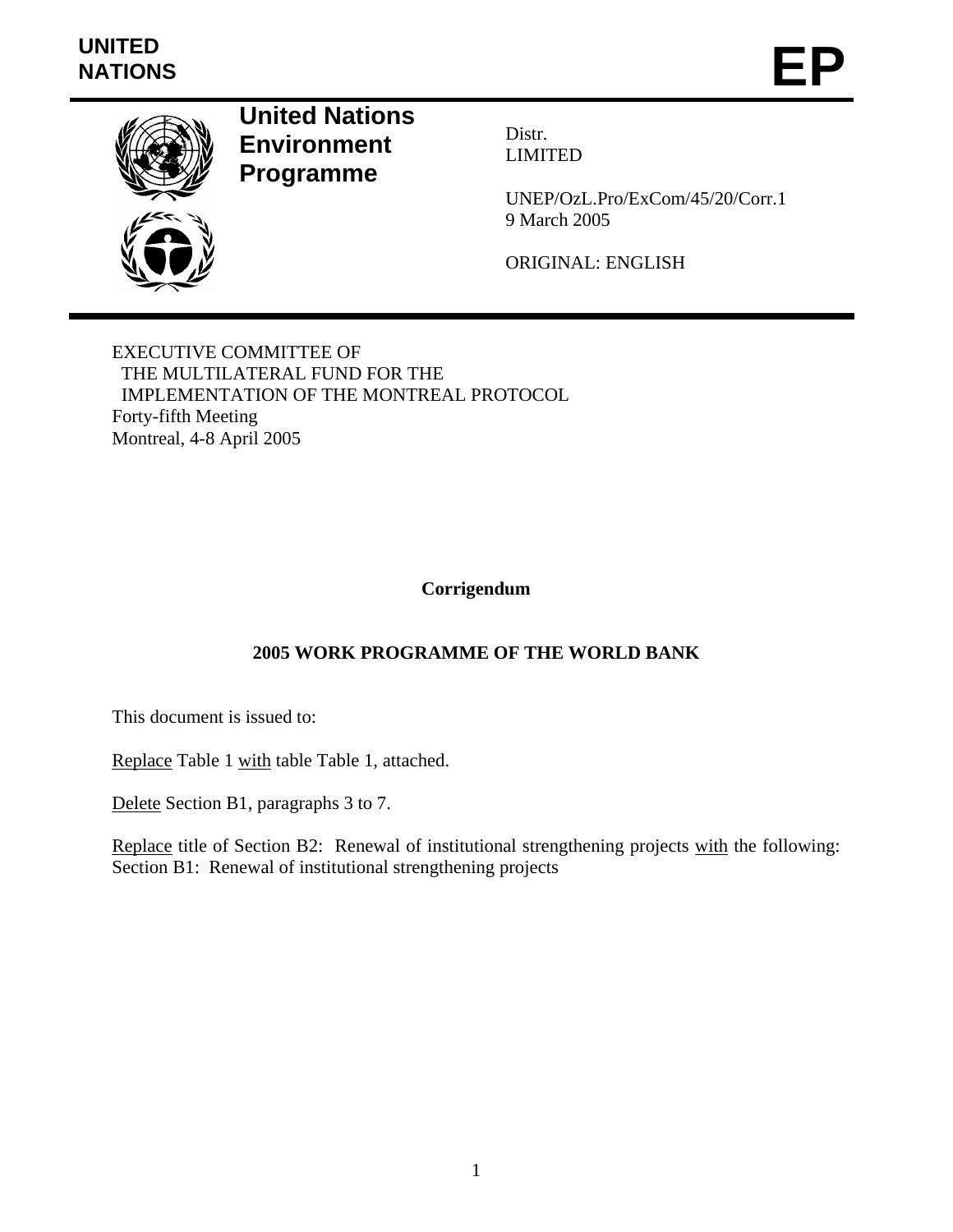## **UNITED**  NATIONS **EP**



**United Nations Environment Programme** 

Distr. LIMITED

UNEP/OzL.Pro/ExCom/45/20/Corr.1 9 March 2005

ORIGINAL: ENGLISH

EXECUTIVE COMMITTEE OF THE MULTILATERAL FUND FOR THE IMPLEMENTATION OF THE MONTREAL PROTOCOL Forty-fifth Meeting Montreal, 4-8 April 2005

**Corrigendum** 

## **2005 WORK PROGRAMME OF THE WORLD BANK**

This document is issued to:

Replace Table 1 with table Table 1, attached.

Delete Section B1, paragraphs 3 to 7.

Replace title of Section B2: Renewal of institutional strengthening projects with the following: Section B1: Renewal of institutional strengthening projects